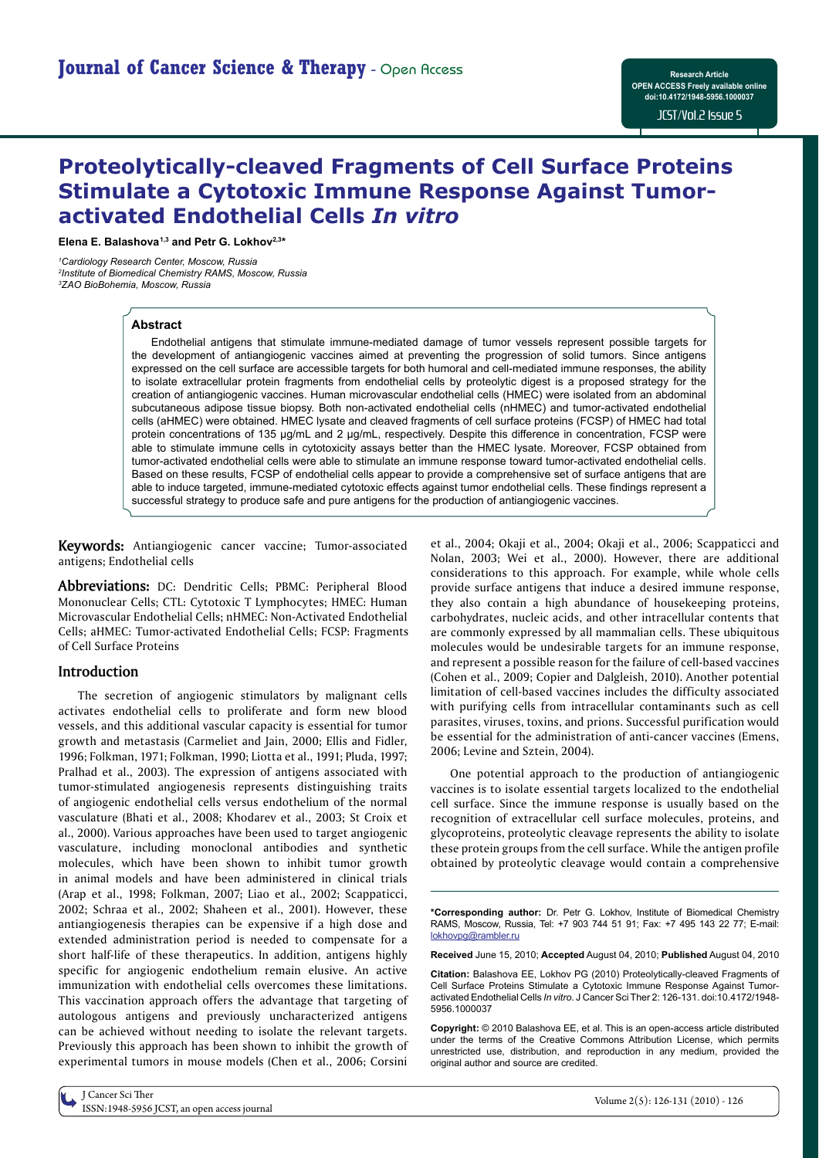# **Proteolytically-cleaved Fragments of Cell Surface Proteins Stimulate a Cytotoxic Immune Response Against Tumoractivated Endothelial Cells** *In vitro*

**Elena E. Balashova1,3 and Petr G. Lokhov2,3\***

*1Cardiology Research Center, Moscow, Russia 2 Institute of Biomedical Chemistry RAMS, Moscow, Russia 3 ZAO BioBohemia, Moscow, Russia* 

## **Abstract**

Endothelial antigens that stimulate immune-mediated damage of tumor vessels represent possible targets for the development of antiangiogenic vaccines aimed at preventing the progression of solid tumors. Since antigens expressed on the cell surface are accessible targets for both humoral and cell-mediated immune responses, the ability to isolate extracellular protein fragments from endothelial cells by proteolytic digest is a proposed strategy for the creation of antiangiogenic vaccines. Human microvascular endothelial cells (HMEC) were isolated from an abdominal subcutaneous adipose tissue biopsy. Both non-activated endothelial cells (nHMEC) and tumor-activated endothelial cells (aHMEC) were obtained. HMEC lysate and cleaved fragments of cell surface proteins (FCSP) of HMEC had total protein concentrations of 135 μg/mL and 2 μg/mL, respectively. Despite this difference in concentration, FCSP were able to stimulate immune cells in cytotoxicity assays better than the HMEC lysate. Moreover, FCSP obtained from tumor-activated endothelial cells were able to stimulate an immune response toward tumor-activated endothelial cells. Based on these results, FCSP of endothelial cells appear to provide a comprehensive set of surface antigens that are able to induce targeted, immune-mediated cytotoxic effects against tumor endothelial cells. These findings represent a successful strategy to produce safe and pure antigens for the production of antiangiogenic vaccines.

**Keywords:** Antiangiogenic cancer vaccine; Tumor-associated antigens; Endothelial cells

**Abbreviations:** DC: Dendritic Cells; PBMC: Peripheral Blood Mononuclear Cells; CTL: Cytotoxic T Lymphocytes; HMEC: Human Microvascular Endothelial Cells; nHMEC: Non-Activated Endothelial Cells; aHMEC: Tumor-activated Endothelial Cells; FCSP: Fragments of Cell Surface Proteins

## **Introduction**

The secretion of angiogenic stimulators by malignant cells activates endothelial cells to proliferate and form new blood vessels, and this additional vascular capacity is essential for tumor growth and metastasis (Carmeliet and Jain, 2000; Ellis and Fidler, 1996; Folkman, 1971; Folkman, 1990; Liotta et al., 1991; Pluda, 1997; Pralhad et al., 2003). The expression of antigens associated with tumor-stimulated angiogenesis represents distinguishing traits of angiogenic endothelial cells versus endothelium of the normal vasculature (Bhati et al., 2008; Khodarev et al., 2003; St Croix et al., 2000). Various approaches have been used to target angiogenic vasculature, including monoclonal antibodies and synthetic molecules, which have been shown to inhibit tumor growth in animal models and have been administered in clinical trials (Arap et al., 1998; Folkman, 2007; Liao et al., 2002; Scappaticci, 2002; Schraa et al., 2002; Shaheen et al., 2001). However, these antiangiogenesis therapies can be expensive if a high dose and extended administration period is needed to compensate for a short half-life of these therapeutics. In addition, antigens highly specific for angiogenic endothelium remain elusive. An active immunization with endothelial cells overcomes these limitations. This vaccination approach offers the advantage that targeting of autologous antigens and previously uncharacterized antigens can be achieved without needing to isolate the relevant targets. Previously this approach has been shown to inhibit the growth of experimental tumors in mouse models (Chen et al., 2006; Corsini

et al., 2004; Okaji et al., 2004; Okaji et al., 2006; Scappaticci and Nolan, 2003; Wei et al., 2000). However, there are additional considerations to this approach. For example, while whole cells provide surface antigens that induce a desired immune response, they also contain a high abundance of housekeeping proteins, carbohydrates, nucleic acids, and other intracellular contents that are commonly expressed by all mammalian cells. These ubiquitous molecules would be undesirable targets for an immune response, and represent a possible reason for the failure of cell-based vaccines (Cohen et al., 2009; Copier and Dalgleish, 2010). Another potential limitation of cell-based vaccines includes the difficulty associated with purifying cells from intracellular contaminants such as cell parasites, viruses, toxins, and prions. Successful purification would be essential for the administration of anti-cancer vaccines (Emens, 2006; Levine and Sztein, 2004).

One potential approach to the production of antiangiogenic vaccines is to isolate essential targets localized to the endothelial cell surface. Since the immune response is usually based on the recognition of extracellular cell surface molecules, proteins, and glycoproteins, proteolytic cleavage represents the ability to isolate these protein groups from the cell surface. While the antigen profile obtained by proteolytic cleavage would contain a comprehensive

**\*Corresponding author:** Dr. Petr G. Lokhov, Institute of Biomedical Chemistry RAMS, Moscow, Russia, Tel: +7 903 744 51 91; Fax: +7 495 143 22 77; E-mail: lokhovpg@rambler.ru

**Received** June 15, 2010; **Accepted** August 04, 2010; **Published** August 04, 2010

**Citation:** Balashova FE, Lokhov PG (2010) Proteolytically-cleaved Fragments of Cell Surface Proteins Stimulate a Cytotoxic Immune Response Against Tumoractivated Endothelial Cells *In vitro*. J Cancer Sci Ther 2: 126-131. doi:10.4172/1948- 5956.1000037

**Copyright:** © 2010 Balashova EE, et al. This is an open-access article distributed under the terms of the Creative Commons Attribution License, which permits unrestricted use, distribution, and reproduction in any medium, provided the original author and source are credited.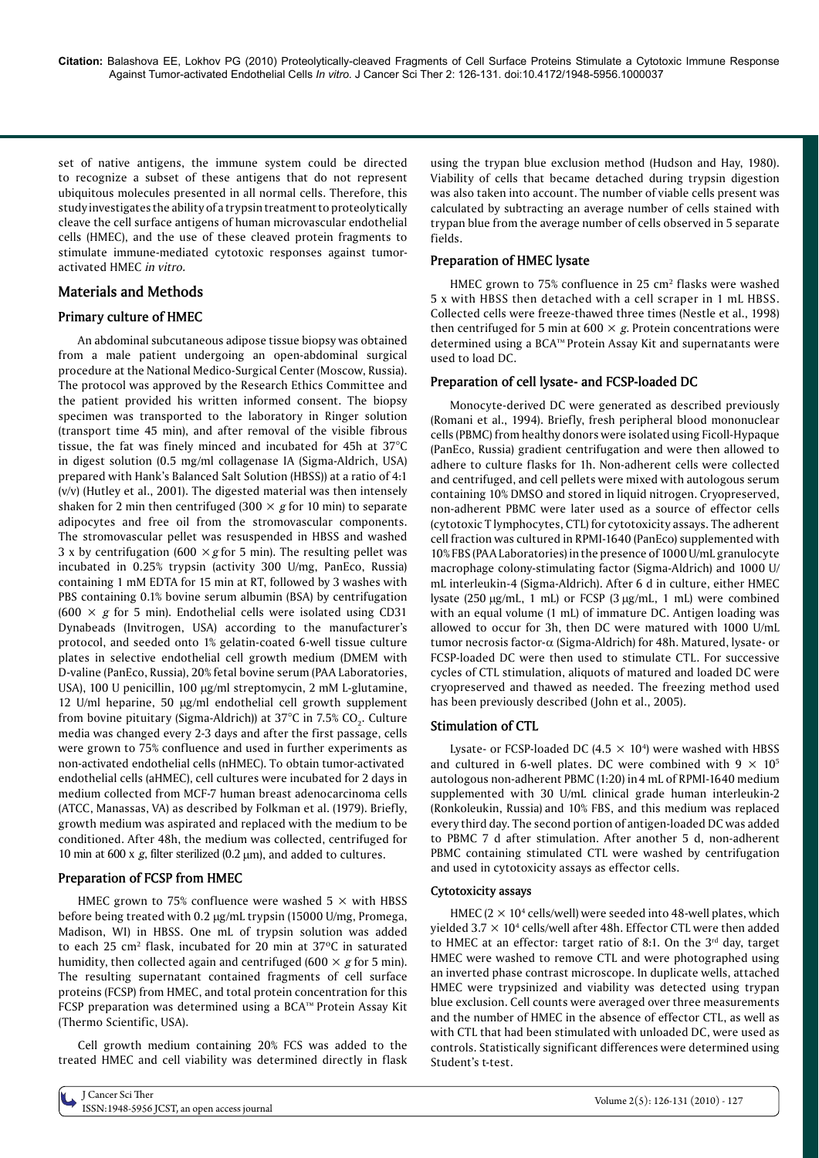set of native antigens, the immune system could be directed to recognize a subset of these antigens that do not represent ubiquitous molecules presented in all normal cells. Therefore, this study investigates the ability of a trypsin treatment to proteolytically cleave the cell surface antigens of human microvascular endothelial cells (HMEC), and the use of these cleaved protein fragments to stimulate immune-mediated cytotoxic responses against tumoractivated HMEC *in vitro.*

# **Materials and Methods**

# **Primary culture of HMEC**

An abdominal subcutaneous adipose tissue biopsy was obtained from a male patient undergoing an open-abdominal surgical procedure at the National Medico-Surgical Center (Moscow, Russia). The protocol was approved by the Research Ethics Committee and the patient provided his written informed consent. The biopsy specimen was transported to the laboratory in Ringer solution (transport time 45 min), and after removal of the visible fibrous tissue, the fat was finely minced and incubated for 45h at 37°C in digest solution (0.5 mg/ml collagenase IA (Sigma-Aldrich, USA) prepared with Hank's Balanced Salt Solution (HBSS)) at a ratio of 4:1 (v/v) (Hutley et al., 2001). The digested material was then intensely shaken for 2 min then centrifuged (300  $\times$  *g* for 10 min) to separate adipocytes and free oil from the stromovascular components. The stromovascular pellet was resuspended in HBSS and washed 3 x by centrifugation (600  $\times$  *g* for 5 min). The resulting pellet was incubated in 0.25% trypsin (activity 300 U/mg, PanEco, Russia) containing 1 mM EDTA for 15 min at RT, followed by 3 washes with PBS containing 0.1% bovine serum albumin (BSA) by centrifugation (600  $\times$  g for 5 min). Endothelial cells were isolated using CD31 Dynabeads (Invitrogen, USA) according to the manufacturer's protocol, and seeded onto 1% gelatin-coated 6-well tissue culture plates in selective endothelial cell growth medium (DMEM with D-valine (PanEco, Russia), 20% fetal bovine serum (PAA Laboratories, USA), 100 U penicillin, 100 µg/ml streptomycin, 2 mM L-glutamine, 12 U/ml heparine, 50 µg/ml endothelial cell growth supplement from bovine pituitary (Sigma-Aldrich)) at 37°C in 7.5% CO<sub>2</sub>. Culture media was changed every 2-3 days and after the first passage, cells were grown to 75% confluence and used in further experiments as non-activated endothelial cells (nHMEC). To obtain tumor-activated endothelial cells (aHMEC), cell cultures were incubated for 2 days in medium collected from MCF-7 human breast adenocarcinoma cells (ATCC, Manassas, VA) as described by Folkman et al. (1979). Briefly, growth medium was aspirated and replaced with the medium to be conditioned. After 48h, the medium was collected, centrifuged for 10 min at 600 x  $g$ , filter sterilized (0.2  $\mu$ m), and added to cultures.

#### **Preparation of FCSP from HMEC**

HMEC grown to 75% confluence were washed 5  $\times$  with HBSS before being treated with 0.2 µg/mL trypsin (15000 U/mg, Promega, Madison, WI) in HBSS. One mL of trypsin solution was added to each 25 cm<sup>2</sup> flask, incubated for 20 min at 37°C in saturated humidity, then collected again and centrifuged (600  $\times$  *g* for 5 min). The resulting supernatant contained fragments of cell surface proteins (FCSP) from HMEC, and total protein concentration for this FCSP preparation was determined using a BCA™ Protein Assay Kit (Thermo Scientific, USA).

Cell growth medium containing 20% FCS was added to the treated HMEC and cell viability was determined directly in flask using the trypan blue exclusion method (Hudson and Hay, 1980). Viability of cells that became detached during trypsin digestion was also taken into account. The number of viable cells present was calculated by subtracting an average number of cells stained with trypan blue from the average number of cells observed in 5 separate fields.

## **Preparation of HMEC lysate**

HMEC grown to 75% confluence in 25 cm<sup>2</sup> flasks were washed 5 x with HBSS then detached with a cell scraper in 1 mL HBSS. Collected cells were freeze-thawed three times (Nestle et al., 1998) then centrifuged for 5 min at  $600 \times g$ . Protein concentrations were determined using a BCA™ Protein Assay Kit and supernatants were used to load DC.

### **Preparation of cell lysate- and FCSP-loaded DC**

Monocyte-derived DC were generated as described previously (Romani et al., 1994). Briefly, fresh peripheral blood mononuclear cells (PBMC) from healthy donors were isolated using Ficoll-Hypaque (PanEco, Russia) gradient centrifugation and were then allowed to adhere to culture flasks for 1h. Non-adherent cells were collected and centrifuged, and cell pellets were mixed with autologous serum containing 10% DMSO and stored in liquid nitrogen. Cryopreserved, non-adherent PBMC were later used as a source of effector cells (cytotoxic T lymphocytes, CTL) for cytotoxicity assays. The adherent cell fraction was cultured in RPMI-1640 (PanEco) supplemented with 10% FBS (PAA Laboratories) in the presence of 1000 U/mL granulocyte macrophage colony-stimulating factor (Sigma-Aldrich) and 1000 U/ mL interleukin-4 (Sigma-Aldrich). After 6 d in culture, either HMEC lysate  $(250 \mu g/mL, 1 mL)$  or FCSP  $(3 \mu g/mL, 1 mL)$  were combined with an equal volume (1 mL) of immature DC. Antigen loading was allowed to occur for 3h, then DC were matured with 1000 U/mL tumor necrosis factor- $\alpha$  (Sigma-Aldrich) for 48h. Matured, lysate- or FCSP-loaded DC were then used to stimulate CTL. For successive cycles of CTL stimulation, aliquots of matured and loaded DC were cryopreserved and thawed as needed. The freezing method used has been previously described (John et al., 2005)*.*

# **Stimulation of CTL**

Lysate- or FCSP-loaded DC  $(4.5 \times 10^4)$  were washed with HBSS and cultured in 6-well plates. DC were combined with  $9 \times 10^5$ autologous non-adherent PBMC (1:20) in4 mL of RPMI-1640 medium supplemented with 30 U/mL clinical grade human interleukin-2 (Ronkoleukin, Russia) and 10% FBS, and this medium was replaced every third day. The second portion of antigen-loaded DC was added to PBMC 7 d after stimulation. After another 5 d, non-adherent PBMC containing stimulated CTL were washed by centrifugation and used in cytotoxicity assays as effector cells.

#### **Cytotoxicity assays**

HMEC  $(2 \times 10^4 \text{ cells/well})$  were seeded into 48-well plates, which yielded  $3.7 \times 10^4$  cells/well after 48h. Effector CTL were then added to HMEC at an effector: target ratio of 8:1. On the  $3<sup>rd</sup>$  day, target HMEC were washed to remove CTL and were photographed using an inverted phase contrast microscope. In duplicate wells, attached HMEC were trypsinized and viability was detected using trypan blue exclusion. Cell counts were averaged over three measurements and the number of HMEC in the absence of effector CTL, as well as with CTL that had been stimulated with unloaded DC, were used as controls. Statistically significant differences were determined using Student's t-test.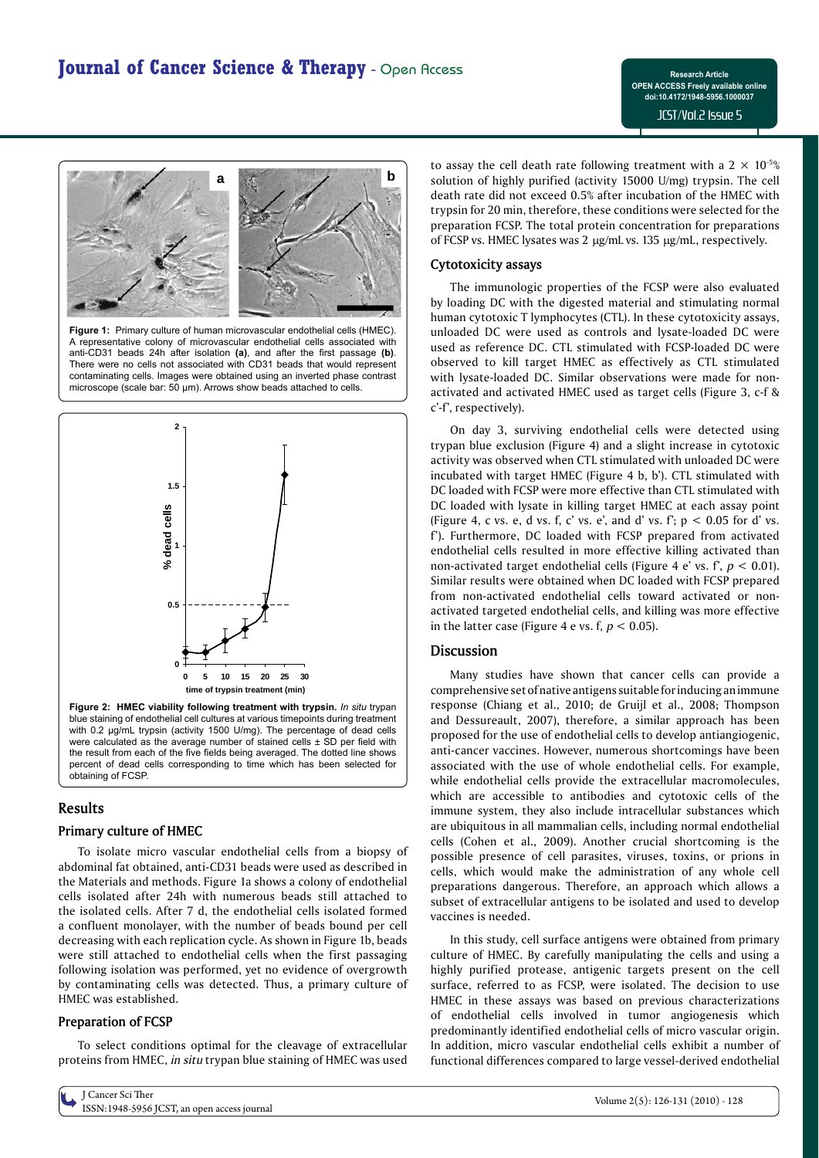

**Figure 1:** Primary culture of human microvascular endothelial cells (HMEC). A representative colony of microvascular endothelial cells associated with anti-CD31 beads 24h after isolation (a), and after the first passage (b). There were no cells not associated with CD31 beads that would represent contaminating cells. Images were obtained using an inverted phase contrast microscope (scale bar: 50 μm). Arrows show beads attached to cells.



**Figure 2: HMEC viability following treatment with trypsin.** *In situ* trypan blue staining of endothelial cell cultures at various timepoints during treatment with 0.2 μg/mL trypsin (activity 1500 U/mg). The percentage of dead cells were calculated as the average number of stained cells  $\pm$  SD per field with the result from each of the five fields being averaged. The dotted line shows percent of dead cells corresponding to time which has been selected for obtaining of FCSP.

# **Results**

# **Primary culture of HMEC**

To isolate micro vascular endothelial cells from a biopsy of abdominal fat obtained, anti-CD31 beads were used as described in the Materials and methods. Figure 1a shows a colony of endothelial cells isolated after 24h with numerous beads still attached to the isolated cells. After 7 d, the endothelial cells isolated formed a confluent monolayer, with the number of beads bound per cell decreasing with each replication cycle. As shown in Figure 1b, beads were still attached to endothelial cells when the first passaging following isolation was performed, yet no evidence of overgrowth by contaminating cells was detected. Thus, a primary culture of HMEC was established.

# **Preparation of FCSP**

To select conditions optimal for the cleavage of extracellular proteins from HMEC, *in situ* trypan blue staining of HMEC was used

J Cancer Sci Ther J Cancer Sci Iner<br>ISSN:1948-5956 JCST, an open access journal variables are seen to the second variables of the Volume 2(5): 126-131 (2010) - 128

to assay the cell death rate following treatment with a  $2 \times 10^{-5}$ % solution of highly purified (activity 15000 U/mg) trypsin. The cell death rate did not exceed 0.5% after incubation of the HMEC with trypsin for 20 min, therefore, these conditions were selected for the preparation FCSP. The total protein concentration for preparations of FCSP vs. HMEC lysates was 2 µg/mL vs. 135 µg/mL, respectively.

# **Cytotoxicity assays**

The immunologic properties of the FCSP were also evaluated by loading DC with the digested material and stimulating normal human cytotoxic T lymphocytes (CTL). In these cytotoxicity assays, unloaded DC were used as controls and lysate-loaded DC were used as reference DC. CTL stimulated with FCSP-loaded DC were observed to kill target HMEC as effectively as CTL stimulated with lysate-loaded DC. Similar observations were made for nonactivated and activated HMEC used as target cells (Figure 3, c-f & c'-f', respectively).

On day 3, surviving endothelial cells were detected using trypan blue exclusion (Figure 4) and a slight increase in cytotoxic activity was observed when CTL stimulated with unloaded DC were incubated with target HMEC (Figure 4 b, b'). CTL stimulated with DC loaded with FCSP were more effective than CTL stimulated with DC loaded with lysate in killing target HMEC at each assay point (Figure 4, c vs. e, d vs. f, c' vs. e', and d' vs. f';  $p < 0.05$  for d' vs. f'). Furthermore, DC loaded with FCSP prepared from activated endothelial cells resulted in more effective killing activated than non-activated target endothelial cells (Figure 4 e' vs. f', *p* < 0.01). Similar results were obtained when DC loaded with FCSP prepared from non-activated endothelial cells toward activated or nonactivated targeted endothelial cells, and killing was more effective in the latter case (Figure 4 e vs. f,  $p < 0.05$ ).

# **Discussion**

Many studies have shown that cancer cells can provide a comprehensive set of native antigens suitable for inducing an immune response (Chiang et al., 2010; de Gruijl et al., 2008; Thompson and Dessureault, 2007), therefore, a similar approach has been proposed for the use of endothelial cells to develop antiangiogenic, anti-cancer vaccines. However, numerous shortcomings have been associated with the use of whole endothelial cells. For example, while endothelial cells provide the extracellular macromolecules, which are accessible to antibodies and cytotoxic cells of the immune system, they also include intracellular substances which are ubiquitous in all mammalian cells, including normal endothelial cells (Cohen et al., 2009). Another crucial shortcoming is the possible presence of cell parasites, viruses, toxins, or prions in cells, which would make the administration of any whole cell preparations dangerous. Therefore, an approach which allows a subset of extracellular antigens to be isolated and used to develop vaccines is needed.

In this study, cell surface antigens were obtained from primary culture of HMEC. By carefully manipulating the cells and using a highly purified protease, antigenic targets present on the cell surface, referred to as FCSP, were isolated. The decision to use HMEC in these assays was based on previous characterizations of endothelial cells involved in tumor angiogenesis which predominantly identified endothelial cells of micro vascular origin. In addition, micro vascular endothelial cells exhibit a number of functional differences compared to large vessel-derived endothelial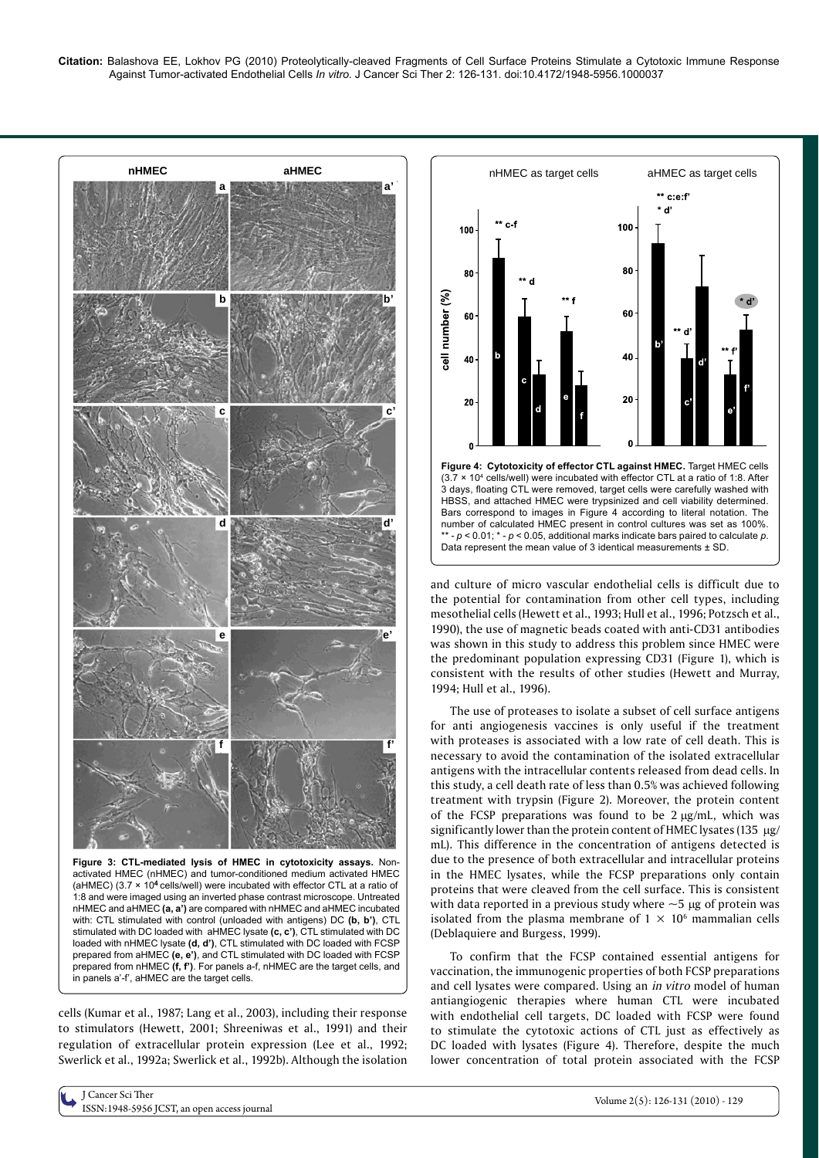

**Figure 3: CTL-mediated lysis of HMEC in cytotoxicity assays.** Nonactivated HMEC (nHMEC) and tumor-conditioned medium activated HMEC (aHMEC)  $(3.7 \times 10^4 \text{ cells/well})$  were incubated with effector CTL at a ratio of 1:8 and were imaged using an inverted phase contrast microscope. Untreated nHMEC and aHMEC **(a, a')** are compared with nHMEC and aHMEC incubated with: CTL stimulated with control (unloaded with antigens) DC **(b, b')**, CTL stimulated with DC loaded with aHMEC lysate **(c, c')**, CTL stimulated with DC loaded with nHMEC lysate **(d, d')**, CTL stimulated with DC loaded with FCSP prepared from aHMEC **(e, e')**, and CTL stimulated with DC loaded with FCSP prepared from nHMEC **(f, f')**. For panels a-f, nHMEC are the target cells, and in panels a'-f', aHMEC are the target cells.

cells (Kumar et al., 1987; Lang et al., 2003), including their response to stimulators (Hewett, 2001; Shreeniwas et al., 1991) and their regulation of extracellular protein expression (Lee et al., 1992; Swerlick et al., 1992a; Swerlick et al., 1992b). Although the isolation



and culture of micro vascular endothelial cells is difficult due to the potential for contamination from other cell types, including mesothelial cells (Hewett et al., 1993; Hull et al., 1996; Potzsch et al., 1990), the use of magnetic beads coated with anti-CD31 antibodies was shown in this study to address this problem since HMEC were the predominant population expressing CD31 (Figure 1), which is consistent with the results of other studies (Hewett and Murray, 1994; Hull et al., 1996).

The use of proteases to isolate a subset of cell surface antigens for anti angiogenesis vaccines is only useful if the treatment with proteases is associated with a low rate of cell death. This is necessary to avoid the contamination of the isolated extracellular antigens with the intracellular contents released from dead cells. In this study, a cell death rate of less than 0.5% was achieved following treatment with trypsin (Figure 2). Moreover, the protein content of the FCSP preparations was found to be  $2 \mu g/mL$ , which was significantly lower than the protein content of HMEC lysates (135  $\mu$ g/ mL). This difference in the concentration of antigens detected is due to the presence of both extracellular and intracellular proteins in the HMEC lysates, while the FCSP preparations only contain proteins that were cleaved from the cell surface. This is consistent with data reported in a previous study where  $\sim$  5  $\mu$ g of protein was isolated from the plasma membrane of  $1 \times 10^6$  mammalian cells (Deblaquiere and Burgess, 1999).

To confirm that the FCSP contained essential antigens for vaccination, the immunogenic properties of both FCSP preparations and cell lysates were compared. Using an *in vitro* model of human antiangiogenic therapies where human CTL were incubated with endothelial cell targets, DC loaded with FCSP were found to stimulate the cytotoxic actions of CTL just as effectively as DC loaded with lysates (Figure 4). Therefore, despite the much lower concentration of total protein associated with the FCSP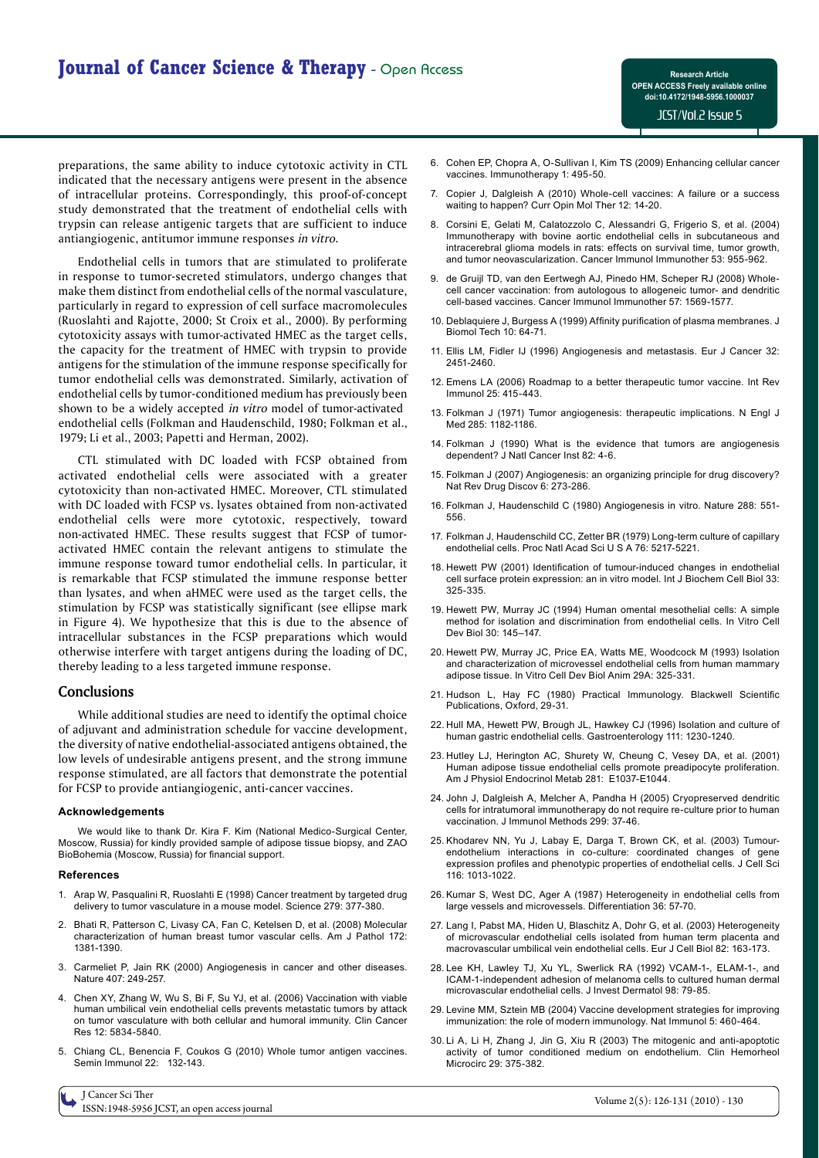preparations, the same ability to induce cytotoxic activity in CTL indicated that the necessary antigens were present in the absence of intracellular proteins. Correspondingly, this proof-of-concept study demonstrated that the treatment of endothelial cells with trypsin can release antigenic targets that are sufficient to induce antiangiogenic, antitumor immune responses *in vitro*.

Endothelial cells in tumors that are stimulated to proliferate in response to tumor-secreted stimulators, undergo changes that make them distinct from endothelial cells of the normal vasculature, particularly in regard to expression of cell surface macromolecules (Ruoslahti and Rajotte, 2000; St Croix et al., 2000). By performing cytotoxicity assays with tumor-activated HMEC as the target cells, the capacity for the treatment of HMEC with trypsin to provide antigens for the stimulation of the immune response specifically for tumor endothelial cells was demonstrated. Similarly, activation of endothelial cells by tumor-conditioned medium has previously been shown to be a widely accepted *in vitro* model of tumor-activated endothelial cells (Folkman and Haudenschild, 1980; Folkman et al., 1979; Li et al., 2003; Papetti and Herman, 2002).

CTL stimulated with DC loaded with FCSP obtained from activated endothelial cells were associated with a greater cytotoxicity than non-activated HMEC. Moreover, CTL stimulated with DC loaded with FCSP vs. lysates obtained from non-activated endothelial cells were more cytotoxic, respectively, toward non-activated HMEC. These results suggest that FCSP of tumoractivated HMEC contain the relevant antigens to stimulate the immune response toward tumor endothelial cells. In particular, it is remarkable that FCSP stimulated the immune response better than lysates, and when aHMEC were used as the target cells, the stimulation by FCSP was statistically significant (see ellipse mark in Figure 4). We hypothesize that this is due to the absence of intracellular substances in the FCSP preparations which would otherwise interfere with target antigens during the loading of DC, thereby leading to a less targeted immune response.

#### **Conclusions**

While additional studies are need to identify the optimal choice of adjuvant and administration schedule for vaccine development, the diversity of native endothelial-associated antigens obtained, the low levels of undesirable antigens present, and the strong immune response stimulated, are all factors that demonstrate the potential for FCSP to provide antiangiogenic, anti-cancer vaccines.

#### **Acknowledgements**

I Cancer Sci Ther

We would like to thank Dr. Kira F. Kim (National Medico-Surgical Center, Moscow, Russia) for kindly provided sample of adipose tissue biopsy, and ZAO BioBohemia (Moscow, Russia) for financial support.

#### **References**

- 1. Arap W, Pasqualini R, Ruoslahti E (1998) Cancer treatment by targeted drug delivery to tumor vasculature in a mouse model. Science 279: 377-380.
- 2. Bhati R, Patterson C, Livasy CA, Fan C, Ketelsen D, et al. (2008) Molecular characterization of human breast tumor vascular cells. Am J Pathol 172: 1381-1390.
- 3. Carmeliet P, Jain RK (2000) Angiogenesis in cancer and other diseases. Nature 407: 249-257.
- 4. Chen XY, Zhang W, Wu S, Bi F, Su YJ, et al. (2006) Vaccination with viable human umbilical vein endothelial cells prevents metastatic tumors by attack on tumor vasculature with both cellular and humoral immunity. Clin Cancer Res 12: 5834-5840.
- 5. Chiang CL, Benencia F, Coukos G (2010) Whole tumor antigen vaccines. Semin Immunol 22: 132-143.
- 6. Cohen EP, Chopra A, O-Sullivan I, Kim TS (2009) Enhancing cellular cancer vaccines. Immunotherapy 1: 495-50.
- 7. Copier J, Dalgleish A (2010) Whole-cell vaccines: A failure or a success waiting to happen? Curr Opin Mol Ther 12: 14-20.
- 8. Corsini E, Gelati M, Calatozzolo C, Alessandri G, Frigerio S, et al. (2004) Immunotherapy with bovine aortic endothelial cells in subcutaneous and intracerebral glioma models in rats: effects on survival time, tumor growth, and tumor neovascularization. Cancer Immunol Immunother 53: 955-962.
- 9. de Gruijl TD, van den Eertwegh AJ, Pinedo HM, Scheper RJ (2008) Wholecell cancer vaccination: from autologous to allogeneic tumor- and dendritic cell-based vaccines. Cancer Immunol Immunother 57: 1569-1577.
- 10. Deblaquiere J, Burgess A (1999) Affinity purification of plasma membranes. J Biomol Tech 10: 64-71.
- 11. Ellis LM, Fidler IJ (1996) Angiogenesis and metastasis. Eur J Cancer 32: 2451-2460.
- 12. Emens LA (2006) Roadmap to a better therapeutic tumor vaccine. Int Rev Immunol 25: 415-443.
- 13. Folkman J (1971) Tumor angiogenesis: therapeutic implications. N Engl J Med 285: 1182-1186.
- 14. Folkman J (1990) What is the evidence that tumors are angiogenesis dependent? J Natl Cancer Inst 82: 4-6.
- 15. Folkman J (2007) Angiogenesis: an organizing principle for drug discovery? Nat Rev Drug Discov 6: 273-286.
- 16. Folkman J, Haudenschild C (1980) Angiogenesis in vitro. Nature 288: 551- 556.
- 17. Folkman J, Haudenschild CC, Zetter BR (1979) Long-term culture of capillary endothelial cells. Proc Natl Acad Sci U S A 76: 5217-5221.
- 18. Hewett PW (2001) Identification of tumour-induced changes in endothelial cell surface protein expression: an in vitro model. Int J Biochem Cell Biol 33: 325-335.
- 19. Hewett PW, Murray JC (1994) Human omental mesothelial cells: A simple method for isolation and discrimination from endothelial cells. In Vitro Cell Dev Biol 30: 145–147.
- 20. Hewett PW, Murray JC, Price EA, Watts ME, Woodcock M (1993) Isolation and characterization of microvessel endothelial cells from human mammary adipose tissue. In Vitro Cell Dev Biol Anim 29A: 325-331.
- 21. Hudson L, Hay FC (1980) Practical Immunology. Blackwell Scientific Publications, Oxford, 29-31.
- 22. Hull MA, Hewett PW, Brough JL, Hawkey CJ (1996) Isolation and culture of human gastric endothelial cells. Gastroenterology 111: 1230-1240.
- 23. Hutley LJ, Herington AC, Shurety W, Cheung C, Vesey DA, et al. (2001) Human adipose tissue endothelial cells promote preadipocyte proliferation. Am J Physiol Endocrinol Metab 281: E1037-E1044.
- 24. John J, Dalgleish A, Melcher A, Pandha H (2005) Cryopreserved dendritic cells for intratumoral immunotherapy do not require re-culture prior to human vaccination. J Immunol Methods 299: 37-46.
- 25. Khodarev NN, Yu J, Labay E, Darga T, Brown CK, et al. (2003) Tumourendothelium interactions in co-culture: coordinated changes of gene expression profiles and phenotypic properties of endothelial cells. J Cell Sci 116: 1013-1022.
- 26. Kumar S, West DC, Ager A (1987) Heterogeneity in endothelial cells from large vessels and microvessels. Differentiation 36: 57-70.
- 27. Lang I, Pabst MA, Hiden U, Blaschitz A, Dohr G, et al. (2003) Heterogeneity of microvascular endothelial cells isolated from human term placenta and macrovascular umbilical vein endothelial cells. Eur J Cell Biol 82: 163-173.
- 28. Lee KH, Lawley TJ, Xu YL, Swerlick RA (1992) VCAM-1-, ELAM-1-, and ICAM-1-independent adhesion of melanoma cells to cultured human dermal microvascular endothelial cells. J Invest Dermatol 98: 79-85.
- 29. Levine MM, Sztein MB (2004) Vaccine development strategies for improving immunization: the role of modern immunology. Nat Immunol 5: 460-464.
- 30. Li A, Li H, Zhang J, Jin G, Xiu R (2003) The mitogenic and anti-apoptotic activity of tumor conditioned medium on endothelium. Clin Hemorheol Microcirc 29: 375-382.